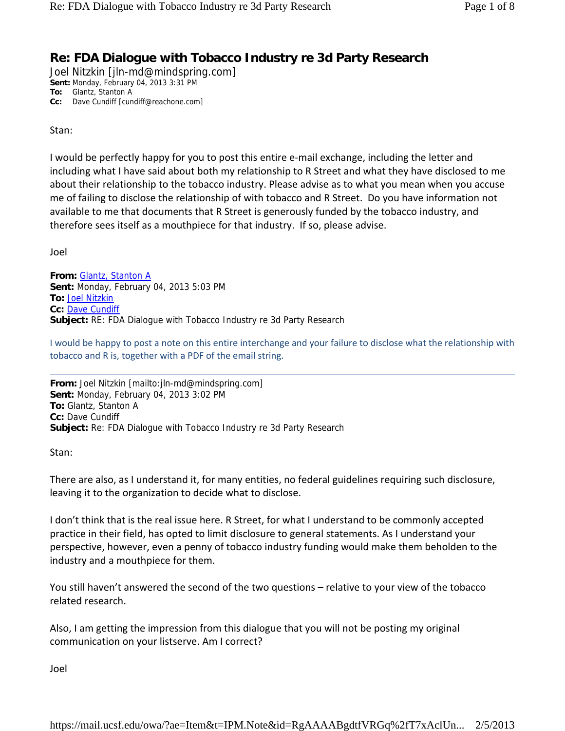## **Re: FDA Dialogue with Tobacco Industry re 3d Party Research**

Joel Nitzkin [jln-md@mindspring.com] **Sent:** Monday, February 04, 2013 3:31 PM **To:** Glantz, Stanton A **Cc:** Dave Cundiff [cundiff@reachone.com]

Stan:

I would be perfectly happy for you to post this entire e‐mail exchange, including the letter and including what I have said about both my relationship to R Street and what they have disclosed to me about their relationship to the tobacco industry. Please advise as to what you mean when you accuse me of failing to disclose the relationship of with tobacco and R Street. Do you have information not available to me that documents that R Street is generously funded by the tobacco industry, and therefore sees itself as a mouthpiece for that industry. If so, please advise.

Joel

**From:** Glantz, Stanton A **Sent:** Monday, February 04, 2013 5:03 PM **To:** Joel Nitzkin **Cc:** Dave Cundiff **Subject:** RE: FDA Dialogue with Tobacco Industry re 3d Party Research

I would be happy to post a note on this entire interchange and your failure to disclose what the relationship with tobacco and R is, together with a PDF of the email string.

**From:** Joel Nitzkin [mailto:jln-md@mindspring.com] **Sent:** Monday, February 04, 2013 3:02 PM **To:** Glantz, Stanton A **Cc:** Dave Cundiff **Subject:** Re: FDA Dialogue with Tobacco Industry re 3d Party Research

Stan:

There are also, as I understand it, for many entities, no federal guidelines requiring such disclosure, leaving it to the organization to decide what to disclose.

I don't think that is the real issue here. R Street, for what I understand to be commonly accepted practice in their field, has opted to limit disclosure to general statements. As I understand your perspective, however, even a penny of tobacco industry funding would make them beholden to the industry and a mouthpiece for them.

You still haven't answered the second of the two questions – relative to your view of the tobacco related research.

Also, I am getting the impression from this dialogue that you will not be posting my original communication on your listserve. Am I correct?

Joel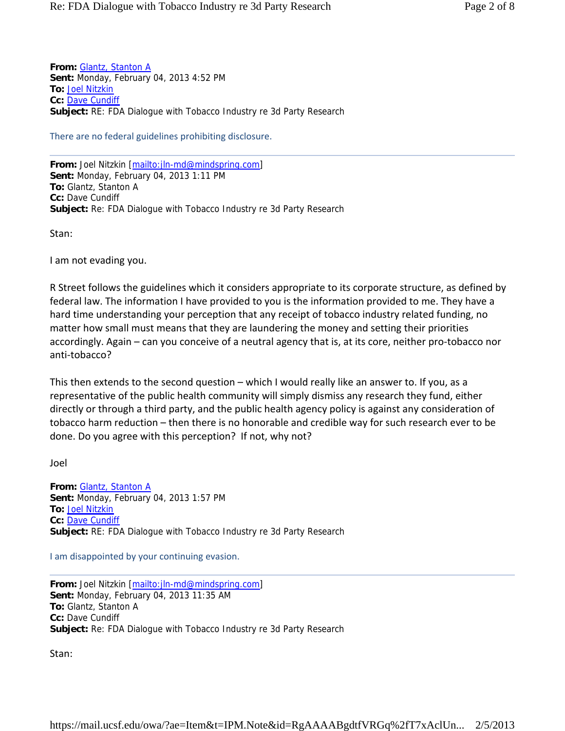**From:** Glantz, Stanton A **Sent:** Monday, February 04, 2013 4:52 PM **To:** Joel Nitzkin **Cc:** Dave Cundiff **Subject:** RE: FDA Dialogue with Tobacco Industry re 3d Party Research

There are no federal guidelines prohibiting disclosure.

**From:** Joel Nitzkin [mailto:jln-md@mindspring.com] **Sent:** Monday, February 04, 2013 1:11 PM **To:** Glantz, Stanton A **Cc:** Dave Cundiff **Subject:** Re: FDA Dialogue with Tobacco Industry re 3d Party Research

Stan:

I am not evading you.

R Street follows the guidelines which it considers appropriate to its corporate structure, as defined by federal law. The information I have provided to you is the information provided to me. They have a hard time understanding your perception that any receipt of tobacco industry related funding, no matter how small must means that they are laundering the money and setting their priorities accordingly. Again – can you conceive of a neutral agency that is, at its core, neither pro‐tobacco nor anti‐tobacco?

This then extends to the second question – which I would really like an answer to. If you, as a representative of the public health community will simply dismiss any research they fund, either directly or through a third party, and the public health agency policy is against any consideration of tobacco harm reduction – then there is no honorable and credible way for such research ever to be done. Do you agree with this perception? If not, why not?

Joel

**From:** Glantz, Stanton A **Sent:** Monday, February 04, 2013 1:57 PM **To:** Joel Nitzkin **Cc:** Dave Cundiff **Subject:** RE: FDA Dialogue with Tobacco Industry re 3d Party Research

I am disappointed by your continuing evasion.

**From:** Joel Nitzkin [mailto:jln-md@mindspring.com] **Sent:** Monday, February 04, 2013 11:35 AM **To:** Glantz, Stanton A **Cc:** Dave Cundiff **Subject:** Re: FDA Dialogue with Tobacco Industry re 3d Party Research

Stan: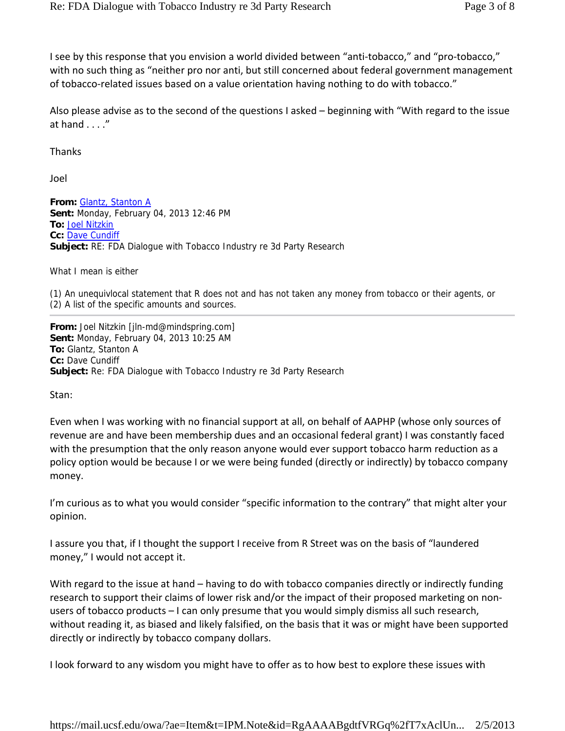I see by this response that you envision a world divided between "anti-tobacco," and "pro-tobacco," with no such thing as "neither pro nor anti, but still concerned about federal government management of tobacco-related issues based on a value orientation having nothing to do with tobacco."

Also please advise as to the second of the questions I asked – beginning with "With regard to the issue at hand . . . ."

Thanks

Joel

**From:** Glantz, Stanton A **Sent:** Monday, February 04, 2013 12:46 PM **To:** Joel Nitzkin **Cc:** Dave Cundiff **Subject:** RE: FDA Dialogue with Tobacco Industry re 3d Party Research

What I mean is either

(1) An unequivlocal statement that R does not and has not taken any money from tobacco or their agents, or (2) A list of the specific amounts and sources.

**From:** Joel Nitzkin [jln-md@mindspring.com] **Sent:** Monday, February 04, 2013 10:25 AM **To:** Glantz, Stanton A **Cc:** Dave Cundiff **Subject:** Re: FDA Dialogue with Tobacco Industry re 3d Party Research

Stan:

Even when I was working with no financial support at all, on behalf of AAPHP (whose only sources of revenue are and have been membership dues and an occasional federal grant) I was constantly faced with the presumption that the only reason anyone would ever support tobacco harm reduction as a policy option would be because I or we were being funded (directly or indirectly) by tobacco company money.

I'm curious as to what you would consider "specific information to the contrary" that might alter your opinion.

I assure you that, if I thought the support I receive from R Street was on the basis of "laundered money," I would not accept it.

With regard to the issue at hand – having to do with tobacco companies directly or indirectly funding research to support their claims of lower risk and/or the impact of their proposed marketing on non‐ users of tobacco products – I can only presume that you would simply dismiss all such research, without reading it, as biased and likely falsified, on the basis that it was or might have been supported directly or indirectly by tobacco company dollars.

I look forward to any wisdom you might have to offer as to how best to explore these issues with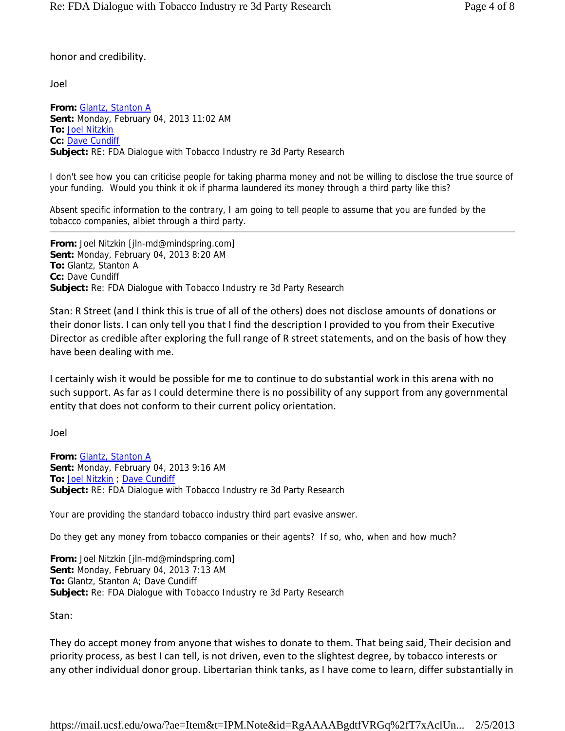honor and credibility.

Joel

**From:** Glantz, Stanton A **Sent:** Monday, February 04, 2013 11:02 AM **To:** Joel Nitzkin **Cc:** Dave Cundiff **Subject:** RE: FDA Dialogue with Tobacco Industry re 3d Party Research

I don't see how you can criticise people for taking pharma money and not be willing to disclose the true source of your funding. Would you think it ok if pharma laundered its money through a third party like this?

Absent specific information to the contrary, I am going to tell people to assume that you are funded by the tobacco companies, albiet through a third party.

**From:** Joel Nitzkin [jln-md@mindspring.com] **Sent:** Monday, February 04, 2013 8:20 AM **To:** Glantz, Stanton A **Cc:** Dave Cundiff **Subject:** Re: FDA Dialogue with Tobacco Industry re 3d Party Research

Stan: R Street (and I think this is true of all of the others) does not disclose amounts of donations or their donor lists. I can only tell you that I find the description I provided to you from their Executive Director as credible after exploring the full range of R street statements, and on the basis of how they have been dealing with me.

I certainly wish it would be possible for me to continue to do substantial work in this arena with no such support. As far as I could determine there is no possibility of any support from any governmental entity that does not conform to their current policy orientation.

Joel

**From:** Glantz, Stanton A **Sent:** Monday, February 04, 2013 9:16 AM **To:** Joel Nitzkin ; Dave Cundiff **Subject:** RE: FDA Dialogue with Tobacco Industry re 3d Party Research

Your are providing the standard tobacco industry third part evasive answer.

Do they get any money from tobacco companies or their agents? If so, who, when and how much?

**From:** Joel Nitzkin [jln-md@mindspring.com] **Sent:** Monday, February 04, 2013 7:13 AM **To:** Glantz, Stanton A; Dave Cundiff **Subject:** Re: FDA Dialogue with Tobacco Industry re 3d Party Research

Stan:

They do accept money from anyone that wishes to donate to them. That being said, Their decision and priority process, as best I can tell, is not driven, even to the slightest degree, by tobacco interests or any other individual donor group. Libertarian think tanks, as I have come to learn, differ substantially in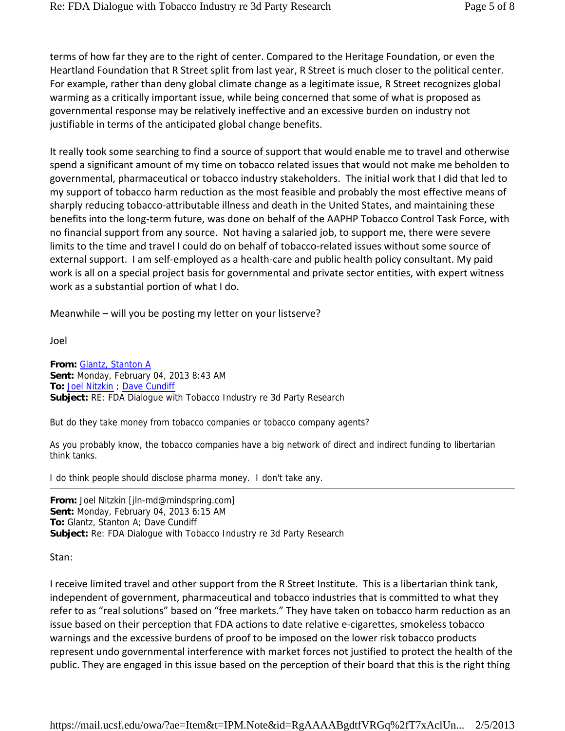terms of how far they are to the right of center. Compared to the Heritage Foundation, or even the Heartland Foundation that R Street split from last year, R Street is much closer to the political center. For example, rather than deny global climate change as a legitimate issue, R Street recognizes global warming as a critically important issue, while being concerned that some of what is proposed as governmental response may be relatively ineffective and an excessive burden on industry not justifiable in terms of the anticipated global change benefits.

It really took some searching to find a source of support that would enable me to travel and otherwise spend a significant amount of my time on tobacco related issues that would not make me beholden to governmental, pharmaceutical or tobacco industry stakeholders. The initial work that I did that led to my support of tobacco harm reduction as the most feasible and probably the most effective means of sharply reducing tobacco-attributable illness and death in the United States, and maintaining these benefits into the long-term future, was done on behalf of the AAPHP Tobacco Control Task Force, with no financial support from any source. Not having a salaried job, to support me, there were severe limits to the time and travel I could do on behalf of tobacco-related issues without some source of external support. I am self-employed as a health-care and public health policy consultant. My paid work is all on a special project basis for governmental and private sector entities, with expert witness work as a substantial portion of what I do.

Meanwhile – will you be posting my letter on your listserve?

Joel

**From:** Glantz, Stanton A **Sent:** Monday, February 04, 2013 8:43 AM **To:** Joel Nitzkin ; Dave Cundiff **Subject:** RE: FDA Dialogue with Tobacco Industry re 3d Party Research

But do they take money from tobacco companies or tobacco company agents?

As you probably know, the tobacco companies have a big network of direct and indirect funding to libertarian think tanks.

I do think people should disclose pharma money. I don't take any.

**From:** Joel Nitzkin [jln-md@mindspring.com] **Sent:** Monday, February 04, 2013 6:15 AM **To:** Glantz, Stanton A; Dave Cundiff **Subject:** Re: FDA Dialogue with Tobacco Industry re 3d Party Research

Stan:

I receive limited travel and other support from the R Street Institute. This is a libertarian think tank, independent of government, pharmaceutical and tobacco industries that is committed to what they refer to as "real solutions" based on "free markets." They have taken on tobacco harm reduction as an issue based on their perception that FDA actions to date relative e‐cigarettes, smokeless tobacco warnings and the excessive burdens of proof to be imposed on the lower risk tobacco products represent undo governmental interference with market forces not justified to protect the health of the public. They are engaged in this issue based on the perception of their board that this is the right thing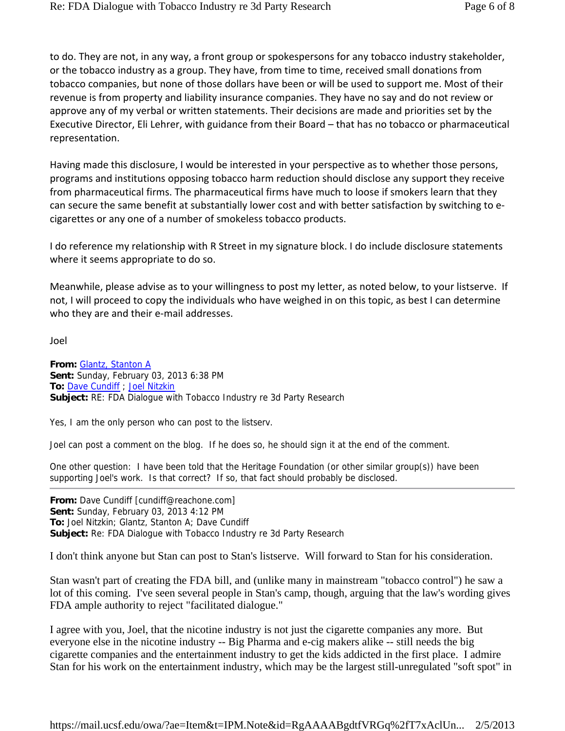to do. They are not, in any way, a front group or spokespersons for any tobacco industry stakeholder, or the tobacco industry as a group. They have, from time to time, received small donations from tobacco companies, but none of those dollars have been or will be used to support me. Most of their revenue is from property and liability insurance companies. They have no say and do not review or approve any of my verbal or written statements. Their decisions are made and priorities set by the Executive Director, Eli Lehrer, with guidance from their Board – that has no tobacco or pharmaceutical representation.

Having made this disclosure, I would be interested in your perspective as to whether those persons, programs and institutions opposing tobacco harm reduction should disclose any support they receive from pharmaceutical firms. The pharmaceutical firms have much to loose if smokers learn that they can secure the same benefit at substantially lower cost and with better satisfaction by switching to e‐ cigarettes or any one of a number of smokeless tobacco products.

I do reference my relationship with R Street in my signature block. I do include disclosure statements where it seems appropriate to do so.

Meanwhile, please advise as to your willingness to post my letter, as noted below, to your listserve. If not, I will proceed to copy the individuals who have weighed in on this topic, as best I can determine who they are and their e-mail addresses.

Joel

**From:** Glantz, Stanton A **Sent:** Sunday, February 03, 2013 6:38 PM **To:** Dave Cundiff ; Joel Nitzkin **Subject:** RE: FDA Dialogue with Tobacco Industry re 3d Party Research

Yes, I am the only person who can post to the listserv.

Joel can post a comment on the blog. If he does so, he should sign it at the end of the comment.

One other question: I have been told that the Heritage Foundation (or other similar group(s)) have been supporting Joel's work. Is that correct? If so, that fact should probably be disclosed.

**From:** Dave Cundiff [cundiff@reachone.com] **Sent:** Sunday, February 03, 2013 4:12 PM **To:** Joel Nitzkin; Glantz, Stanton A; Dave Cundiff **Subject:** Re: FDA Dialogue with Tobacco Industry re 3d Party Research

I don't think anyone but Stan can post to Stan's listserve. Will forward to Stan for his consideration.

Stan wasn't part of creating the FDA bill, and (unlike many in mainstream "tobacco control") he saw a lot of this coming. I've seen several people in Stan's camp, though, arguing that the law's wording gives FDA ample authority to reject "facilitated dialogue."

I agree with you, Joel, that the nicotine industry is not just the cigarette companies any more. But everyone else in the nicotine industry -- Big Pharma and e-cig makers alike -- still needs the big cigarette companies and the entertainment industry to get the kids addicted in the first place. I admire Stan for his work on the entertainment industry, which may be the largest still-unregulated "soft spot" in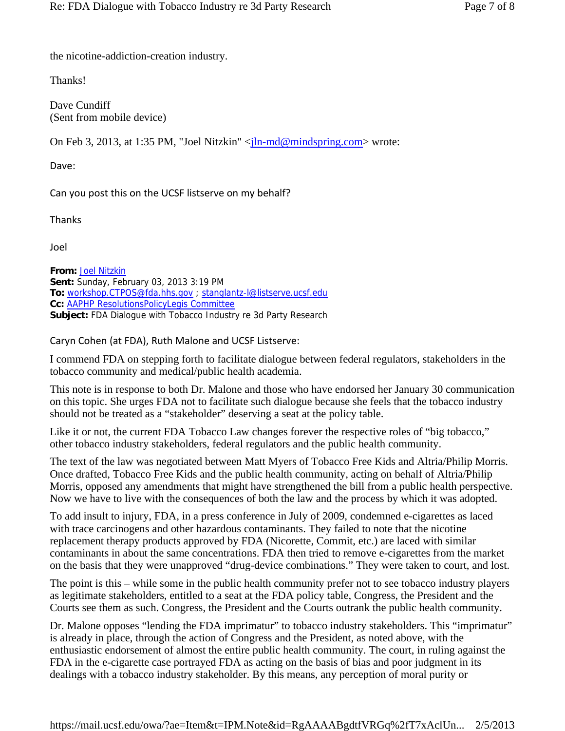the nicotine-addiction-creation industry.

Thanks!

Dave Cundiff (Sent from mobile device)

On Feb 3, 2013, at 1:35 PM, "Joel Nitzkin" <<u>jln-md@mindspring.com</u>> wrote:

Dave:

Can you post this on the UCSF listserve on my behalf?

Thanks

Joel

**From:** Joel Nitzkin **Sent:** Sunday, February 03, 2013 3:19 PM **To:** workshop.CTPOS@fda.hhs.gov ; stanglantz-l@listserve.ucsf.edu **Cc:** AAPHP ResolutionsPolicyLegis Committee **Subject:** FDA Dialogue with Tobacco Industry re 3d Party Research

Caryn Cohen (at FDA), Ruth Malone and UCSF Listserve:

I commend FDA on stepping forth to facilitate dialogue between federal regulators, stakeholders in the tobacco community and medical/public health academia.

This note is in response to both Dr. Malone and those who have endorsed her January 30 communication on this topic. She urges FDA not to facilitate such dialogue because she feels that the tobacco industry should not be treated as a "stakeholder" deserving a seat at the policy table.

Like it or not, the current FDA Tobacco Law changes forever the respective roles of "big tobacco," other tobacco industry stakeholders, federal regulators and the public health community.

The text of the law was negotiated between Matt Myers of Tobacco Free Kids and Altria/Philip Morris. Once drafted, Tobacco Free Kids and the public health community, acting on behalf of Altria/Philip Morris, opposed any amendments that might have strengthened the bill from a public health perspective. Now we have to live with the consequences of both the law and the process by which it was adopted.

To add insult to injury, FDA, in a press conference in July of 2009, condemned e-cigarettes as laced with trace carcinogens and other hazardous contaminants. They failed to note that the nicotine replacement therapy products approved by FDA (Nicorette, Commit, etc.) are laced with similar contaminants in about the same concentrations. FDA then tried to remove e-cigarettes from the market on the basis that they were unapproved "drug-device combinations." They were taken to court, and lost.

The point is this – while some in the public health community prefer not to see tobacco industry players as legitimate stakeholders, entitled to a seat at the FDA policy table, Congress, the President and the Courts see them as such. Congress, the President and the Courts outrank the public health community.

Dr. Malone opposes "lending the FDA imprimatur" to tobacco industry stakeholders. This "imprimatur" is already in place, through the action of Congress and the President, as noted above, with the enthusiastic endorsement of almost the entire public health community. The court, in ruling against the FDA in the e-cigarette case portrayed FDA as acting on the basis of bias and poor judgment in its dealings with a tobacco industry stakeholder. By this means, any perception of moral purity or